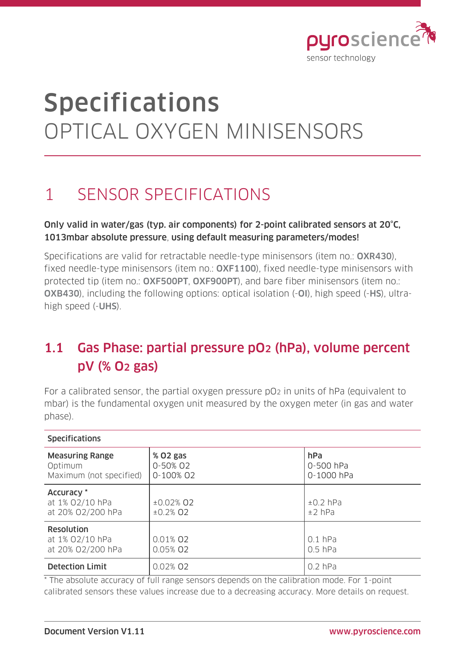

# Specifications OPTICAL OXYGEN MINISENSORS

## 1 SENSOR SPECIFICATIONS

### Only valid in water/gas (typ. air components) for 2-point calibrated sensors at 20°C, 1013mbar absolute pressure, using default measuring parameters/modes!

Specifications are valid for retractable needle-type minisensors (item no.: OXR430). fixed needle-type minisensors (item no.: OXF1100), fixed needle-type minisensors with protected tip (item no.: OXF500PT, OXF900PT), and bare fiber minisensors (item no.: OXB430), including the following options: optical isolation (-OI), high speed (-HS), ultrahigh speed (-UHS).

### 1.1 Gas Phase: partial pressure pO2 (hPa), volume percent pV (% O2 gas)

For a calibrated sensor, the partial oxygen pressure pO2 in units of hPa (equivalent to mbar) is the fundamental oxygen unit measured by the oxygen meter (in gas and water phase).

| <b>JPLLIILLULIUIJ</b>                                        |                                   |                                |
|--------------------------------------------------------------|-----------------------------------|--------------------------------|
| <b>Measuring Range</b><br>Optimum<br>Maximum (not specified) | % 02 gas<br>0-50% 02<br>0-100% 02 | hPa<br>0-500 hPa<br>0-1000 hPa |
| Accuracy *<br>at 1% 02/10 hPa<br>at 20% 02/200 hPa           | $±0.02%$ Q2<br>$±0.2\%$ O2        | $±0.2$ hPa<br>$±2$ hPa         |
| <b>Resolution</b><br>at 1% 02/10 hPa<br>at 20% 02/200 hPa    | 0.01% 02<br>0.05% 02              | $0.1$ hPa<br>$0.5$ hPa         |
| <b>Detection Limit</b>                                       | 0.02% 02                          | $0.2$ hPa                      |

#### \* The absolute accuracy of full range sensors depends on the calibration mode. For 1-point calibrated sensors these values increase due to a decreasing accuracy. More details on request.

**Specifications**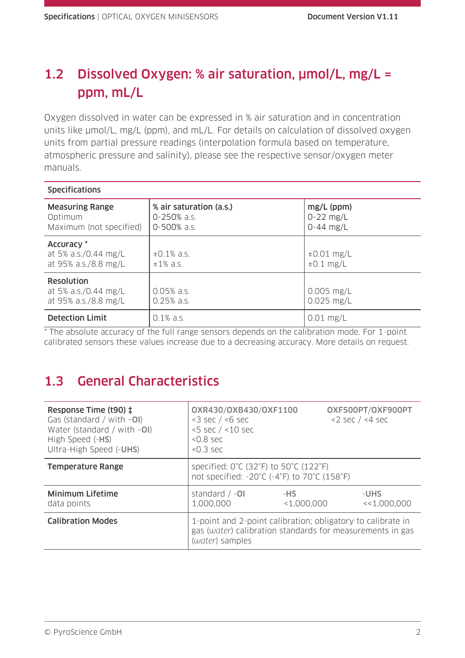### 1.2 Dissolved Oxygen: % air saturation, µmol/L, mg/L = ppm, mL/L

Oxygen dissolved in water can be expressed in % air saturation and in concentration units like  $\mu$ mol/L, mg/L (ppm), and mL/L. For details on calculation of dissolved oxygen units from partial pressure readings (interpolation formula based on temperature, atmospheric pressure and salinity), please see the respective sensor/oxygen meter manuals.

| <b>Specifications</b>                                             |                                                            |                                            |
|-------------------------------------------------------------------|------------------------------------------------------------|--------------------------------------------|
| <b>Measuring Range</b><br>Optimum<br>Maximum (not specified)      | % air saturation (a.s.)<br>$0 - 250\%$ a.s.<br>0-500% a.s. | $mg/L$ (ppm)<br>$0-22$ mg/L<br>$0-44$ mg/L |
| Accuracy *<br>at 5% a.s./0.44 mg/L<br>at 95% a.s./8.8 mg/L        | $\pm 0.1\%$ a.s.<br>$±1\%$ a.s.                            | $\pm 0.01$ mg/L<br>$±0.1$ mg/L             |
| <b>Resolution</b><br>at 5% a.s./0.44 mg/L<br>at 95% a.s./8.8 mg/L | $0.05%$ a.s.<br>$0.25%$ a.s.                               | $0.005$ mg/L<br>$0.025$ mg/L               |
| <b>Detection Limit</b>                                            | $0.1\%$ a.s.                                               | $0.01$ mg/L                                |

\* The absolute accuracy of the full range sensors depends on the calibration mode. For 1-point calibrated sensors these values increase due to a decreasing accuracy. More details on request.

### 1.3 General Characteristics

| Response Time (t90) ‡<br>Gas (standard / with $-$ OI)<br>Water (standard / with $-O$ I)<br>High Speed (-HS)<br>Ultra-High Speed (-UHS) | 0XR430/0XB430/0XF1100<br>$<$ 3 sec / $<$ 6 sec<br>$<$ 5 sec $/$ < 10 sec<br>$< 0.8$ sec<br>$< 0.3$ sec                                      |                    | OXF500PT/OXF900PT<br>$<$ 2 sec / $<$ 4 sec |
|----------------------------------------------------------------------------------------------------------------------------------------|---------------------------------------------------------------------------------------------------------------------------------------------|--------------------|--------------------------------------------|
| <b>Temperature Range</b>                                                                                                               | specified: $0^{\circ}$ C (32 $^{\circ}$ F) to 50 $^{\circ}$ C (122 $^{\circ}$ F)<br>not specified: -20°C (-4°F) to 70°C (158°F)             |                    |                                            |
| <b>Minimum Lifetime</b><br>data points                                                                                                 | standard $/ -01$<br>1,000,000                                                                                                               | -HS<br>< 1,000,000 | -UHS<br><<1,000,000                        |
| <b>Calibration Modes</b>                                                                                                               | 1-point and 2-point calibration; obligatory to calibrate in<br>gas (water) calibration standards for measurements in gas<br>(water) samples |                    |                                            |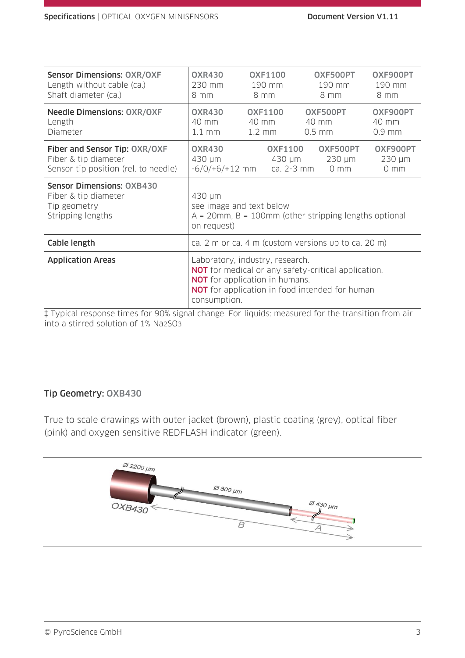| <b>Sensor Dimensions: OXR/OXF</b>                                                             | <b>OXR430</b>                                            | <b>OXF1100</b>                                                           | OXF500PT                                                                                                            | OXF900PT                                   |
|-----------------------------------------------------------------------------------------------|----------------------------------------------------------|--------------------------------------------------------------------------|---------------------------------------------------------------------------------------------------------------------|--------------------------------------------|
| Length without cable (ca.)                                                                    | 230 mm                                                   | 190 mm                                                                   | 190 mm                                                                                                              | 190 mm                                     |
| Shaft diameter (ca.)                                                                          | 8 mm                                                     | 8 mm                                                                     | 8 mm                                                                                                                | 8 mm                                       |
| <b>Needle Dimensions: OXR/OXF</b>                                                             | <b>OXR430</b>                                            | <b>OXF1100</b>                                                           | OXF500PT                                                                                                            | OXF900PT                                   |
| Length                                                                                        | 40 mm                                                    | 40 mm                                                                    | 40 mm                                                                                                               | $40 \text{ mm}$                            |
| Diameter                                                                                      | $1.1$ mm                                                 | $1.2 \text{ mm}$                                                         | $0.5$ mm                                                                                                            | $0.9$ mm                                   |
| Fiber and Sensor Tip: OXR/OXF<br>Fiber & tip diameter<br>Sensor tip position (rel. to needle) | <b>OXR430</b><br>430 µm                                  | <b>OXF1100</b><br>430 µm<br>$-6/0/+6/+12$ mm ca. 2-3 mm                  | OXF500PT<br>$230 \mu m$<br>0 <sub>mm</sub>                                                                          | OXF900PT<br>$230 \mu m$<br>0 <sub>mm</sub> |
| <b>Sensor Dimensions: OXB430</b>                                                              | $430 \mu m$                                              |                                                                          |                                                                                                                     |                                            |
| Fiber & tip diameter                                                                          | see image and text below                                 |                                                                          |                                                                                                                     |                                            |
| Tip geometry                                                                                  | $A = 20$ mm, B = 100mm (other stripping lengths optional |                                                                          |                                                                                                                     |                                            |
| Stripping lengths                                                                             | on request)                                              |                                                                          |                                                                                                                     |                                            |
| Cable length                                                                                  |                                                          |                                                                          | ca. 2 m or ca. 4 m (custom versions up to ca. 20 m)                                                                 |                                            |
| <b>Application Areas</b>                                                                      | consumption.                                             | Laboratory, industry, research.<br><b>NOT</b> for application in humans. | <b>NOT</b> for medical or any safety-critical application.<br><b>NOT</b> for application in food intended for human |                                            |

‡ Typical response times for 90% signal change. For liquids: measured for the transition from air into a stirred solution of 1% Na2SO3

### Tip Geometry: OXB430

True to scale drawings with outer jacket (brown), plastic coating (grey), optical fiber (pink) and oxygen sensitive REDFLASH indicator (green).

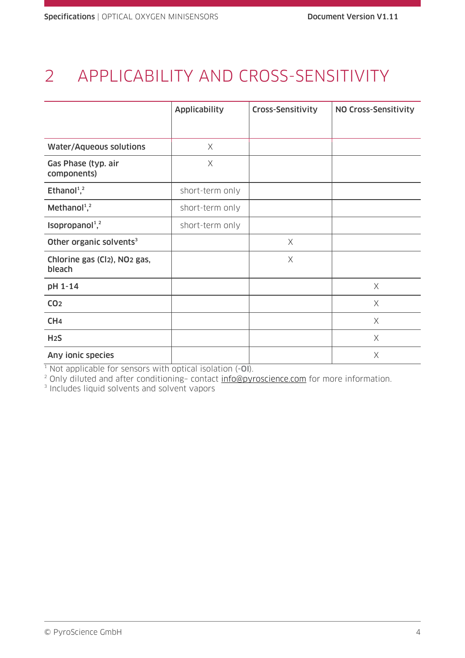# 2 APPLICABILITY AND CROSS-SENSITIVITY

|                                                                 | <b>Applicability</b> | Cross-Sensitivity | NO Cross-Sensitivity |
|-----------------------------------------------------------------|----------------------|-------------------|----------------------|
|                                                                 |                      |                   |                      |
| <b>Water/Aqueous solutions</b>                                  | $\times$             |                   |                      |
| Gas Phase (typ. air<br>components)                              | X                    |                   |                      |
| Ethanol <sup>1</sup> , <sup>2</sup>                             | short-term only      |                   |                      |
| Methanol <sup>1,2</sup>                                         | short-term only      |                   |                      |
| Isopropanol <sup>1,2</sup>                                      | short-term only      |                   |                      |
| Other organic solvents <sup>3</sup>                             |                      | X                 |                      |
| Chlorine gas (Cl <sub>2</sub> ), NO <sub>2</sub> gas,<br>bleach |                      | X                 |                      |
| pH 1-14                                                         |                      |                   | X                    |
| CO <sub>2</sub>                                                 |                      |                   | X                    |
| CH <sub>4</sub>                                                 |                      |                   | X                    |
| H <sub>2</sub> S                                                |                      |                   | $\times$             |
| Any ionic species                                               |                      |                   | $\times$             |

 $1$  Not applicable for sensors with optical isolation  $(-0)$ .

<sup>2</sup> Only diluted and after conditioning- contact <u>info@pyroscience.com</u> for more information.<br><sup>3</sup> Includes liquid solvents and solvent vapors